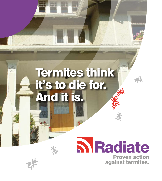## Termites think it's to die for. And it is.

**DESCRIPTION** 

# **N** Radiate

Proven action against termites.

淡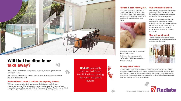#### Radiate is ecco friendly too.

Whilst Radiate is lethal to termites, it is friendly towards the environment. In fact it is applied at some of the lowest doses of termiticide on the market and has been formulated for minimal environmental impact.



Radiate is a water-based formulation and does not emit an odour.

Radiate has also been approved by the Australian Pesticides and Veterinary Medicines Authority.

#### Our commitment to you.

Rest assured Radiate will not compromise your family's health or that of your pets. However, you will need to keep your pets inside during the treatment process.

FMC, in partnership with your licensed pest manager, are totally committed to effectively controlling your termite problems without disrupting your life and with the utmost consideration to you and the environment we share with our families and friends.

#### Use only as directed.

The application of Radiate must always be carried out by a licensed pest manager and only used as directed.





#### An easy act to follow.

To guard against future termite attacks it is recommended that you treat your homes perimeter to form a protection zone. Radiate can be applied externally around the walls and footings of a home by using either an injection or trenching method. Your licensed pest manager will be able to assist you in assessing the right method for your particular home site, ensuring your future peace of mind.





### Will that be dine-in or take away?



取

There has never been an easier way to provide proven protection against termites infesting your home.

FMC's Radiate termiticide kills termites, some on contact, however Radiate doesn't stop there. It's a smarter killer.

#### Radiate doesn't repel, it radiates out targeting the nest.

Unlike some treatments that just repel termites, Radiate's non repellent nature does not lock termites within its treated area to do more damage. Termites move freely through the treated soil increasing their 'deadly' exposure to Radiate. Termites cannot detect Radiate and they will transfer its lethal dose back to the nest before dying themselves.

**Radiate** is a highly effective, soil-based termiticide incorporating the active ingredient fipronil.

**Proven action against termites**